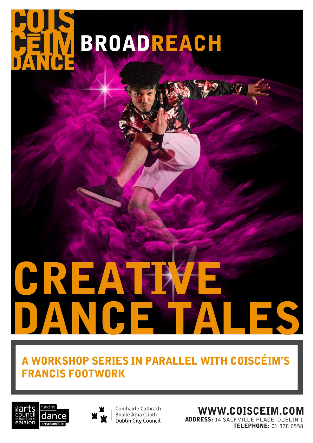# **BROADREACH**

## A WORKSHOP SERIES IN PARALLEL WITH COISCÉIM'S **FRANCIS FOOTWORK**





Comhairle Cathrach **Bhaile Átha Cliath Dublin City Council**  WWW.COISCEIM.COM

**ADDRESS: 14 SACKVILLE PLACE, DUBLIN 1** TELEPHONE: 01 878 0558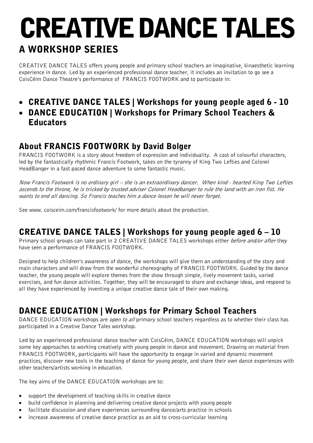## CREATIVE DANCE TALES A WORKSHOP SERIES

CREATIVE DANCE TALES offers young people and primary school teachers an imaginative, kinaesthetic learning experience in dance. Led by an experienced professional dance teacher, it includes an invitation to go see a CoisCéim Dance Theatre's performance of FRANCIS FOOTWORK and to participate in:

## • CREATIVE DANCE TALES | Workshops for young people aged 6 - 10

#### • DANCE EDUCATION | Workshops for Primary School Teachers & **Educators**

#### About FRANCIS FOOTWORK by David Bolger

FRANCIS FOOTWORK is a story about freedom of expression and individuality. A cast of colourful characters, led by the fantastically rhythmic Francis Footwork, takes on the tyranny of King Two Lefties and Colonel HeadBanger in a fast paced dance adventure to some fantastic music.

Now Francis Footwork is no ordinary girl – she is an extraordinary dancer. When kind - hearted King Two Lefties ascends to the throne, he is tricked by trusted adviser Colonel Headbanger to rule the land with an iron fist. He wants to end all dancing. So Francis teaches him a dance lesson he will never forget.

See www. coisceim.com/francisfootwork/ for more details about the production.

#### CREATIVE DANCE TALES | Workshops for young people aged 6 – 10

Primary school groups can take part in 2 CREATIVE DANCE TALES workshops either *before and/or after* they have seen a performance of FRANCIS FOOTWORK.

Designed to help children's awareness of dance, the workshops will give them an understanding of the story and main characters and will draw from the wonderful choreography of FRANCIS FOOTWORK. Guided by the dance teacher, the young people will explore themes from the show through simple, lively movement tasks, varied exercises, and fun dance activities. Together, they will be encouraged to share and exchange ideas, and respond to all they have experienced by inventing a unique creative dance tale of their own making.

### DANCE EDUCATION | Workshops for Primary School Teachers

DANCE EDUCATION workshops are *open to all* primary school teachers regardless as to whether their class has participated in a Creative Dance Tales workshop.

Led by an experienced professional dance teacher with CoisCéim, DANCE EDUCATION workshops will unpick some key approaches to working creatively with young people in dance and movement. Drawing on material from FRANCIS FOOTWORK, participants will have the opportunity to engage in varied and dynamic movement practices, discover new tools in the teaching of dance for young people, and share their own dance experiences with other teachers/artists working in education.

The key aims of the DANCE EDUCATION workshops are to:

- support the development of teaching skills in creative dance
- build confidence in planning and delivering creative dance projects with young people
- facilitate discussion and share experiences surrounding dance/arts practice in schools
- increase awareness of creative dance practice as an aid to cross-curricular learning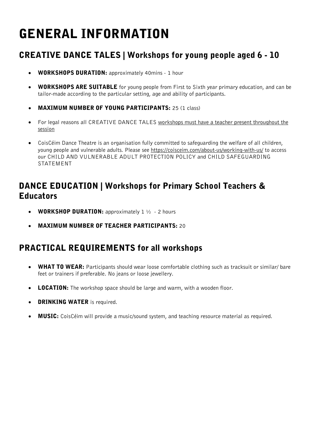## GENERAL INFORMATION

## CREATIVE DANCE TALES | Workshops for young people aged 6 - 10

- WORKSHOPS DURATION: approximately 40mins 1 hour
- WORKSHOPS ARE SUITABLE for young people from First to Sixth year primary education, and can be tailor-made according to the particular setting, age and ability of participants.
- MAXIMUM NUMBER OF YOUNG PARTICIPANTS: 25 (1 class)
- For legal reasons all CREATIVE DANCE TALES workshops must have a teacher present throughout the session
- CoisCéim Dance Theatre is an organisation fully committed to safeguarding the welfare of all children, young people and vulnerable adults. Please see<https://coisceim.com/about-us/working-with-us/> to access our CHILD AND VULNERABLE ADULT PROTECTION POLICY and CHILD SAFEGUARDING STATEMENT

#### DANCE EDUCATION | Workshops for Primary School Teachers & **Educators**

- **WORKSHOP DURATION:** approximately  $1\frac{1}{2}$  2 hours
- MAXIMUM NUMBER OF TEACHER PARTICIPANTS: 20

#### PRACTICAL REQUIREMENTS for all workshops

- **WHAT TO WEAR:** Participants should wear loose comfortable clothing such as tracksuit or similar/ bare feet or trainers if preferable. No jeans or loose jewellery.
- **LOCATION:** The workshop space should be large and warm, with a wooden floor.
- DRINKING WATER is required.
- MUSIC: CoisCéim will provide a music/sound system, and teaching resource material as required.